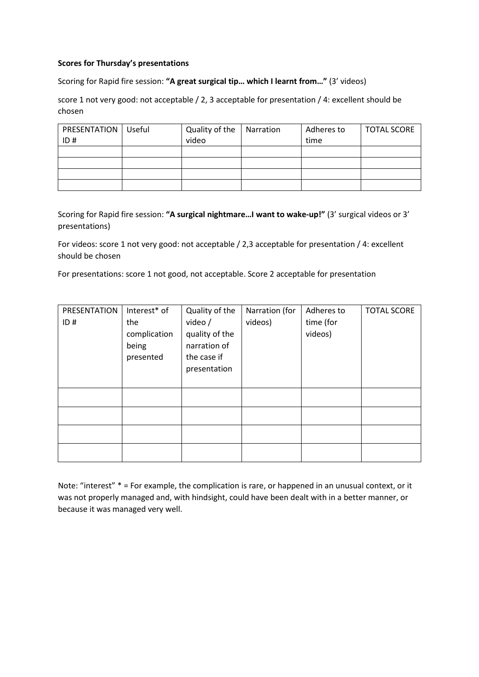# **Scores for Thursday's presentations**

Scoring for Rapid fire session: **"A great surgical tip… which I learnt from…"** (3' videos)

score 1 not very good: not acceptable / 2, 3 acceptable for presentation / 4: excellent should be chosen

| <b>PRESENTATION</b>   Useful | Quality of the | Narration | Adheres to | <b>TOTAL SCORE</b> |
|------------------------------|----------------|-----------|------------|--------------------|
| ID#                          | video          |           | time       |                    |
|                              |                |           |            |                    |
|                              |                |           |            |                    |
|                              |                |           |            |                    |
|                              |                |           |            |                    |

Scoring for Rapid fire session: **"A surgical nightmare…I want to wake-up!"** (3' surgical videos or 3' presentations)

For videos: score 1 not very good: not acceptable / 2,3 acceptable for presentation / 4: excellent should be chosen

For presentations: score 1 not good, not acceptable. Score 2 acceptable for presentation

| PRESENTATION | Interest* of | Quality of the | Narration (for | Adheres to | <b>TOTAL SCORE</b> |
|--------------|--------------|----------------|----------------|------------|--------------------|
| ID#          | the          | video /        | videos)        | time (for  |                    |
|              | complication | quality of the |                | videos)    |                    |
|              | being        | narration of   |                |            |                    |
|              | presented    | the case if    |                |            |                    |
|              |              | presentation   |                |            |                    |
|              |              |                |                |            |                    |
|              |              |                |                |            |                    |
|              |              |                |                |            |                    |
|              |              |                |                |            |                    |
|              |              |                |                |            |                    |
|              |              |                |                |            |                    |

Note: "interest" \* = For example, the complication is rare, or happened in an unusual context, or it was not properly managed and, with hindsight, could have been dealt with in a better manner, or because it was managed very well.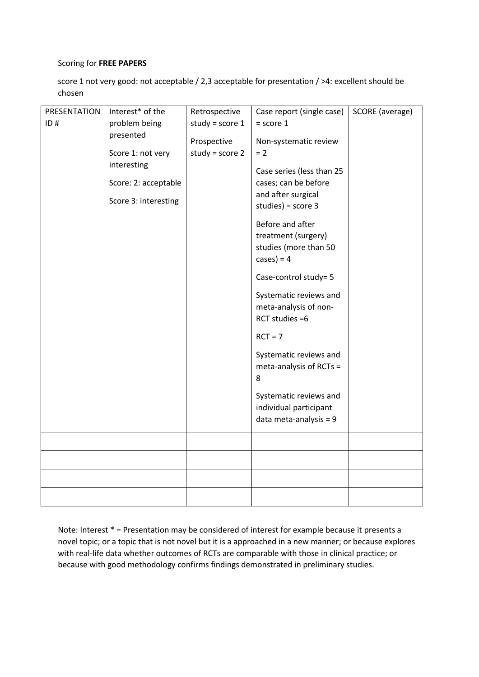# Scoring for **FREE PAPERS**

score 1 not very good: not acceptable / 2,3 acceptable for presentation / >4: excellent should be chosen

| PRESENTATION | Interest* of the     | Retrospective     | Case report (single case) | SCORE (average) |
|--------------|----------------------|-------------------|---------------------------|-----------------|
| ID#          | problem being        | study = $score 1$ | $=$ score 1               |                 |
|              | presented            | Prospective       | Non-systematic review     |                 |
|              | Score 1: not very    | study = $score 2$ | $= 2$                     |                 |
|              | interesting          |                   |                           |                 |
|              |                      |                   | Case series (less than 25 |                 |
|              | Score: 2: acceptable |                   | cases; can be before      |                 |
|              | Score 3: interesting |                   | and after surgical        |                 |
|              |                      |                   | studies) = $score 3$      |                 |
|              |                      |                   | Before and after          |                 |
|              |                      |                   | treatment (surgery)       |                 |
|              |                      |                   | studies (more than 50     |                 |
|              |                      |                   | $cases) = 4$              |                 |
|              |                      |                   | Case-control study= 5     |                 |
|              |                      |                   | Systematic reviews and    |                 |
|              |                      |                   | meta-analysis of non-     |                 |
|              |                      |                   | RCT studies =6            |                 |
|              |                      |                   | $RCT = 7$                 |                 |
|              |                      |                   | Systematic reviews and    |                 |
|              |                      |                   | meta-analysis of RCTs =   |                 |
|              |                      |                   | 8                         |                 |
|              |                      |                   | Systematic reviews and    |                 |
|              |                      |                   | individual participant    |                 |
|              |                      |                   | data meta-analysis = $9$  |                 |
|              |                      |                   |                           |                 |
|              |                      |                   |                           |                 |
|              |                      |                   |                           |                 |
|              |                      |                   |                           |                 |
|              |                      |                   |                           |                 |
|              |                      |                   |                           |                 |

Note: Interest \* = Presentation may be considered of interest for example because it presents a novel topic; or a topic that is not novel but it is a approached in a new manner; or because explores with real-life data whether outcomes of RCTs are comparable with those in clinical practice; or because with good methodology confirms findings demonstrated in preliminary studies.